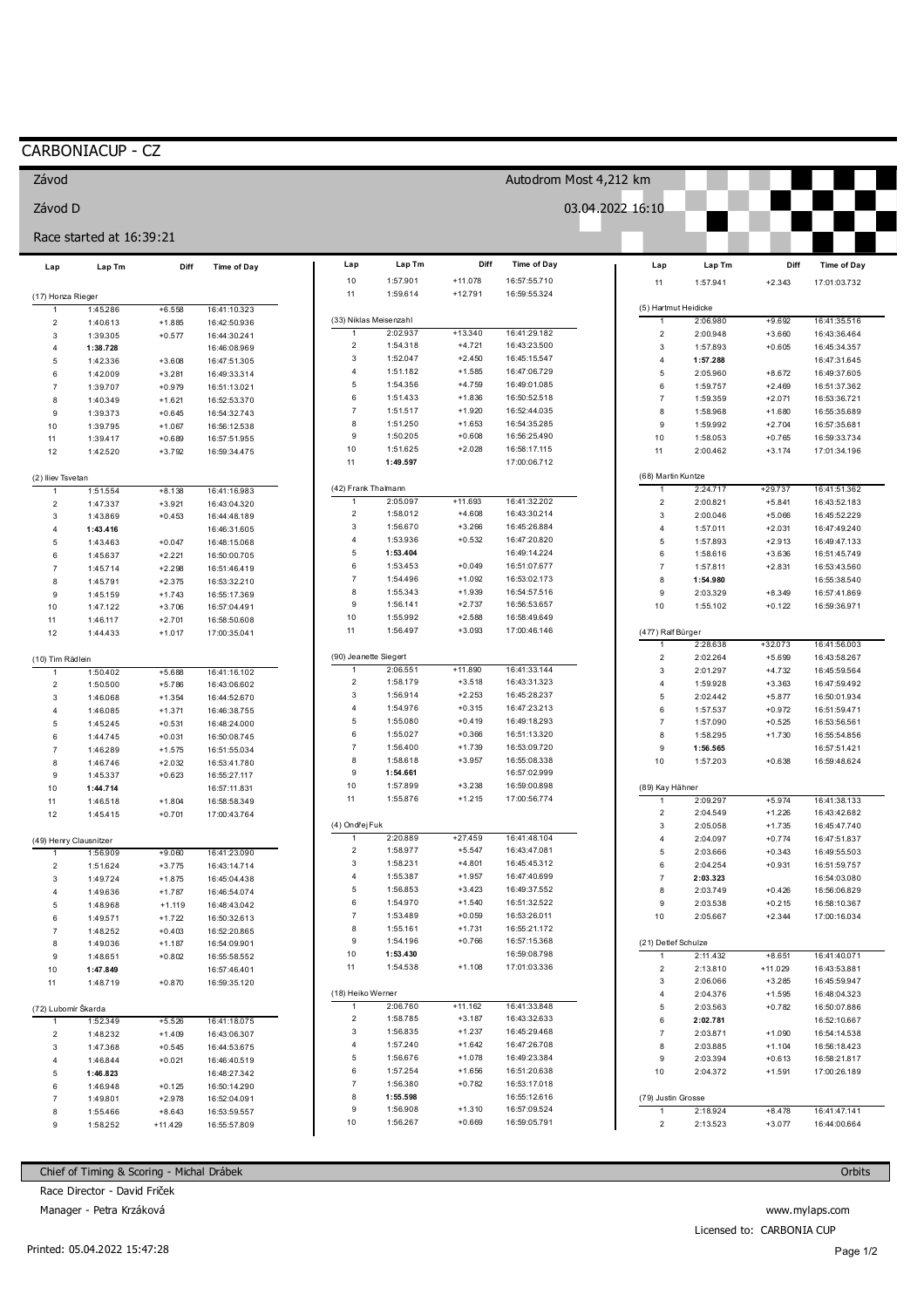## CARBONIACUP - CZ

Závod

Závod D

|                        | Race started at 16:39:21 |           |                    |                     |                        |                        |                              |                         |                      |              |                    |
|------------------------|--------------------------|-----------|--------------------|---------------------|------------------------|------------------------|------------------------------|-------------------------|----------------------|--------------|--------------------|
| Lap                    | Lap Tm                   | Diff      | <b>Time of Day</b> | Lap                 | Lap Tm                 | Diff                   | <b>Time of Day</b>           | Lap                     | Lap Tm               | Diff         | <b>Time of Day</b> |
| (17) Honza Rieger      |                          |           |                    | 10<br>11            | 1:57.901<br>1:59.614   | $+11.078$<br>$+12.791$ | 16:57:55.710<br>16:59:55.324 | 11                      | 1:57.941             | $+2.343$     | 17:01:03.732       |
|                        | 1:45.286                 | $+6.558$  | 16:41:10.323       |                     |                        |                        |                              |                         | (5) Hartmut Heidicke |              |                    |
| $\overline{2}$         | 1:40.613                 | $+1.885$  | 16:42:50.936       |                     | (33) Niklas Meisenzahl |                        |                              | $\mathbf{1}$            | 2:06.980             | $+9.692$     | 16:41:35.516       |
| 3                      | 1:39.305                 | $+0.577$  | 16:44:30.241       |                     | 2:02.937               | $+13.340$              | 16:41:29.182                 | $\sqrt{2}$              | 2:00.948             | $+3.660$     | 16:43:36.464       |
| 4                      | 1:38.728                 |           | 16:46:08.969       | 2                   | 1:54.318               | $+4.721$               | 16:43:23.500                 | $\mathbf{3}$            | 1:57.893             | $+0.605$     | 16:45:34.357       |
| 5                      | 1:42.336                 | $+3.608$  | 16:47:51.305       | 3                   | 1:52.047               | $+2.450$               | 16:45:15.547                 | $\overline{4}$          | 1:57.288             |              | 16:47:31.645       |
| 6                      | 1:42.009                 | $+3.281$  | 16:49:33.314       | 4                   | 1:51.182               | $+1.585$               | 16:47:06.729                 | 5                       | 2:05.960             | $+8.672$     | 16:49:37.605       |
| $\overline{7}$         | 1:39.707                 | $+0.979$  | 16:51:13.021       | 5                   | 1:54.356               | $+4.759$               | 16:49:01.085                 | $\,6\,$                 | 1:59.757             | $+2.469$     | 16:51:37.362       |
| 8                      | 1:40.349                 | $+1.621$  | 16:52:53.370       | 6                   | 1:51.433               | $+1.836$               | 16:50:52.518                 | $\overline{7}$          | 1:59.359             | $+2.071$     | 16:53:36.721       |
| 9                      | 1:39.373                 | $+0.645$  | 16:54:32.743       | $\boldsymbol{7}$    | 1:51.517               | $+1.920$               | 16:52:44.035                 | 8                       | 1:58.968             | $+1.680$     | 16:55:35.689       |
| 10                     | 1:39.795                 | $+1.067$  | 16:56:12.538       | 8                   | 1:51.250               | $+1.653$               | 16:54:35.285                 | 9                       | 1:59.992             | $+2.704$     | 16:57:35.681       |
| 11                     | 1:39.417                 | $+0.689$  | 16:57:51.955       | 9                   | 1:50.205               | $+0.608$               | 16:56:25.490                 | 10                      | 1:58.053             | $+0.765$     | 16:59:33.734       |
| 12                     | 1:42.520                 | $+3.792$  | 16:59:34.475       | 10                  | 1:51.625               | $+2.028$               | 16:58:17.115                 | 11                      | 2:00.462             | $+3.174$     | 17:01:34.196       |
|                        |                          |           |                    | 11                  | 1:49.597               |                        | 17:00:06.712                 |                         |                      |              |                    |
| (2) Iliev Tsvetan      |                          |           |                    |                     |                        |                        |                              |                         | (68) Martin Kuntze   |              |                    |
| 1                      | 1:51.554                 | $+8.138$  | 16:41:16.983       |                     | (42) Frank Thalmann    |                        |                              | $\mathbf{1}$            | 2:24.717             | $+29.737$    | 16:41:51.362       |
| $\overline{c}$         | 1:47.337                 | $+3.921$  | 16:43:04.320       | $\mathbf{1}$        | 2:05.097               | $+11.693$              | 16:41:32.202                 | $\overline{\mathbf{c}}$ | 2:00.821             | $+5.841$     | 16:43:52.183       |
| 3                      | 1:43.869                 | $+0.453$  | 16:44:48.189       | $\overline{c}$      | 1:58.012               | $+4.608$               | 16:43:30.214                 | $\mathbf{3}$            | 2:00.046             | $+5.066$     | 16:45:52.229       |
| 4                      | 1:43.416                 |           | 16:46:31.605       | 3                   | 1:56.670               | $+3.266$               | 16:45:26.884                 | $\overline{4}$          | 1:57.011             | $+2.031$     | 16:47:49.240       |
| 5                      | 1:43.463                 | $+0.047$  | 16:48:15.068       | 4                   | 1:53.936               | $+0.532$               | 16:47:20.820                 | 5                       | 1:57.893             | $+2.913$     | 16:49:47.133       |
| 6                      | 1:45.637                 | $+2.221$  | 16:50:00.705       | 5                   | 1:53.404               |                        | 16:49:14.224                 | $\,6\,$                 | 1:58.616             | $+3.636$     | 16:51:45.749       |
| $\overline{7}$         | 1:45.714                 | $+2.298$  | 16:51:46.419       | 6                   | 1:53.453               | $+0.049$               | 16:51:07.677                 | $\overline{7}$          | 1:57.811             | $+2.831$     | 16:53:43.560       |
| 8                      | 1:45.791                 | $+2.375$  | 16:53:32.210       | $\boldsymbol{7}$    | 1:54.496               | $+1.092$               | 16:53:02.173                 | 8                       | 1:54.980             |              | 16:55:38.540       |
| $9\,$                  | 1:45.159                 | $+1.743$  | 16:55:17.369       | 8                   | 1:55.343               | $+1.939$               | 16:54:57.516                 | 9                       | 2:03.329             | $+8.349$     | 16:57:41.869       |
| 10                     | 1:47.122                 | $+3.706$  | 16:57:04.491       | 9                   | 1:56.141               | $+2.737$               | 16:56:53.657                 | 10                      | 1:55.102             | $+0.122$     | 16:59:36.971       |
| 11                     | 1:46.117                 | $+2.701$  | 16:58:50.608       | 10                  | 1:55.992               | $+2.588$               | 16:58:49.649                 |                         |                      |              |                    |
| 12                     | 1:44.433                 | $+1.017$  | 17:00:35.041       | 11                  | 1:56.497               | $+3.093$               | 17:00:46.146                 |                         | (477) Ralf Bürger    |              |                    |
|                        |                          |           |                    |                     |                        |                        |                              | 1                       | 2:28.638             | $+32.073$    | 16:41:56.003       |
| (10) Tim Rädlein       |                          |           |                    |                     | (90) Jeanette Siegert  |                        |                              | $\sqrt{2}$              | 2:02.264             | $+5.699$     | 16:43:58.267       |
|                        | 1:50.402                 | $+5.688$  | 16:41:16.102       |                     | 2:06.551               | $+11.890$              | 16:41:33.144                 | $\mathbf{3}$            | 2:01.297             | $+4.732$     | 16:45:59.564       |
| $\overline{2}$         | 1:50.500                 | $+5.786$  | 16:43:06.602       | $\overline{c}$      | 1:58.179               | $+3.518$               | 16:43:31.323                 | $\overline{4}$          | 1:59.928             | $+3.363$     | 16:47:59.492       |
| 3                      | 1:46.068                 | $+1.354$  | 16:44:52.670       | 3                   | 1:56.914               | $+2.253$               | 16:45:28.237                 | 5                       | 2:02.442             | $+5.877$     | 16:50:01.934       |
| 4                      | 1:46.085                 | $+1.371$  | 16:46:38.755       | 4                   | 1:54.976               | $+0.315$               | 16:47:23.213                 | $\,6\,$                 | 1:57.537             | $+0.972$     | 16:51:59.471       |
| 5                      | 1:45.245                 | $+0.531$  | 16:48:24.000       | 5                   | 1:55.080               | $+0.419$               | 16:49:18.293                 | $\overline{7}$          | 1:57.090             | $+0.525$     | 16:53:56.561       |
| 6                      | 1:44.745                 | $+0.031$  | 16:50:08.745       | 6                   | 1:55.027               | $+0.366$               | 16:51:13.320                 | 8                       | 1:58.295             | $+1.730$     | 16:55:54.856       |
| $\overline{7}$         | 1:46.289                 | $+1.575$  | 16:51:55.034       | $\overline{7}$      | 1:56.400               | $+1.739$               | 16:53:09.720                 | 9                       | 1:56.565             |              | 16:57:51.421       |
| 8                      | 1:46.746                 | $+2.032$  | 16:53:41.780       | 8                   | 1:58.618               | $+3.957$               | 16:55:08.338                 | 10                      | 1:57.203             | $+0.638$     | 16:59:48.624       |
| 9                      | 1:45.337                 | $+0.623$  | 16:55:27.117       | 9                   | 1:54.661               |                        | 16:57:02.999                 |                         |                      |              |                    |
| 10                     | 1:44.714                 |           | 16:57:11.831       | 10                  | 1:57.899               | $+3.238$               | 16:59:00.898                 |                         | (89) Kay Hähner      |              |                    |
| 11                     | 1:46.518                 | $+1.804$  | 16:58:58.349       | 11                  | 1:55.876               | $+1.215$               | 17:00:56.774                 | $\mathbf{1}$            | 2:09.297             | $+5.974$     | 16:41:38.133       |
| 12                     | 1:45.415                 | $+0.701$  | 17:00:43.764       |                     |                        |                        |                              | $\overline{c}$          | 2:04.549             | $+1.226$     | 16:43:42.682       |
|                        |                          |           |                    | (4) Ondřej Fuk      |                        |                        |                              | 3                       | 2:05.058             | $+1.735$     | 16:45:47.740       |
| (49) Henry Clausnitzer |                          |           |                    |                     | 2:20.889               | $+27.459$              | 16:41:48.104<br>16:43:47.081 | $\sqrt{4}$              | 2:04.097             | $+0.774$     | 16:47:51.837       |
|                        | 1:56.909                 | $+9.060$  | 16:41:23.090       | $\overline{c}$<br>3 | 1:58.977               | $+5.547$               |                              | 5                       | 2:03.666             | $+0.343$     | 16:49:55.503       |
| $\overline{2}$         | 1:51.624                 | $+3.775$  | 16:43:14.714       |                     | 1:58.231               | $+4.801$               | 16:45:45.312                 | $\,6\,$                 | 2:04.254             | $+0.931$     | 16:51:59.757       |
| 3                      | 1:49.724                 | $+1.875$  | 16:45:04.438       | 4<br>5              | 1:55.387               | $+1.957$               | 16:47:40.699                 | $\overline{7}$          | 2:03.323             |              | 16:54:03.080       |
|                        | 1:49.636                 | $+1.787$  | 16:46:54.074       |                     | 1:56.853               | $+3.423$               | 16:49:37.552                 | 8                       | 2:03.749             | $+0.426$     | 16:56:06.829       |
| 5                      | 1:48.968                 | $+1.119$  | 16:48:43.042       | 6                   | 1:54.970               | $+1.540$               | 16:51:32.522                 | 9                       | 2:03.538             | $+0.215$     | 16:58:10.367       |
|                        | 1:49.571                 | $+1.722$  | 16:50:32.613       | $\overline{7}$      | 1:53.489               | $+0.059$               | 16:53:26.011                 | 10                      | 2:05.667             | $+2.344$     | 17:00:16.034       |
| 7                      | 1:48.252                 | $+0.403$  | 16:52:20.865       | 8                   | 1:55.161               | $+1.731$               | 16:55:21.172                 |                         |                      |              |                    |
| 8                      | 1:49.036                 | $+1.187$  | 16:54:09.901       | 9                   | 1:54.196               | $+0.766$               | 16:57:15.368                 |                         | (21) Detlef Schulze  |              |                    |
| 9                      | 1:48.651                 | $+0.802$  | 16:55:58.552       | 10                  | 1:53.430               |                        | 16:59:08.798                 | 1                       | 2:11.432             | $+8.651$     | 16:41:40.071       |
| 10                     | 1:47.849                 |           | 16:57:46.401       | 11                  | 1:54.538               | $+1.108$               | 17:01:03.336                 | $\overline{\mathbf{c}}$ | 2:13.810             | $+11.029$    | 16:43:53.881       |
| 11                     | 1:48.719                 | $+0.870$  | 16:59:35.120       |                     |                        |                        |                              | 3                       | 2:06.066             | $+3.285$     | 16:45:59.947       |
|                        |                          |           | (18) Heiko Werner  |                     |                        |                        | 4                            | 2:04.376                | $+1.595$             | 16:48:04.323 |                    |
| (72) Lubomír Škarda    |                          |           |                    |                     | 2:06.760               | $+11.162$              | 16:41:33.848                 | 5                       | 2:03.563             | $+0.782$     | 16:50:07.886       |
|                        | 1:52.349                 | $+5.526$  | 16:41:18.075       | 2                   | 1:58.785               | $+3.187$               | 16:43:32.633                 | $\,6\,$                 | 2:02.781             |              | 16:52:10.667       |
| $\overline{2}$         | 1:48.232                 | $+1.409$  | 16:43:06.307       | 3                   | 1:56.835               | $+1.237$               | 16:45:29.468                 | $\overline{7}$          | 2:03.871             | $+1.090$     | 16:54:14.538       |
| 3                      | 1:47.368                 | $+0.545$  | 16:44:53.675       | 4                   | 1:57.240               | $+1.642$               | 16:47:26.708                 | 8                       | 2:03.885             | $+1.104$     | 16:56:18.423       |
| 4                      | 1:46.844                 | $+0.021$  | 16:46:40.519       | 5                   | 1:56.676               | $+1.078$               | 16:49:23.384                 | 9                       | 2:03.394             | $+0.613$     | 16:58:21.817       |
| 5                      | 1:46.823                 |           | 16:48:27.342       | 6                   | 1:57.254               | $+1.656$               | 16:51:20.638                 | 10                      | 2:04.372             | $+1.591$     | 17:00:26.189       |
| 6                      | 1:46.948                 | $+0.125$  | 16:50:14.290       | $\overline{7}$      | 1:56.380               | $+0.782$               | 16:53:17.018                 |                         |                      |              |                    |
| $\overline{7}$         | 1:49.801                 | $+2.978$  | 16:52:04.091       | 8                   | 1:55.598               |                        | 16:55:12.616                 |                         | (79) Justin Grosse   |              |                    |
| 8                      | 1:55.466                 | $+8.643$  | 16:53:59.557       | 9                   | 1:56.908               | $+1.310$               | 16:57:09.524                 | $\mathbf{1}$            | 2:18.924             | $+8.478$     | 16:41:47.141       |
| 9                      | 1:58.252                 | $+11.429$ | 16:55:57.809       | 10                  | 1:56.267               | $+0.669$               | 16:59:05.791                 | $\overline{2}$          | 2:13.523             | $+3.077$     | 16:44:00.664       |

Autodrom Most 4,212 km

03.04.2022 16:10

Chief of Timing & Scoring - Michal Drábek

Race Director - David Friček

Manager - Petra Krzáková

www.mylaps.com Licensed to: CARBONIA CUP

Page 1/2

**Orbits**